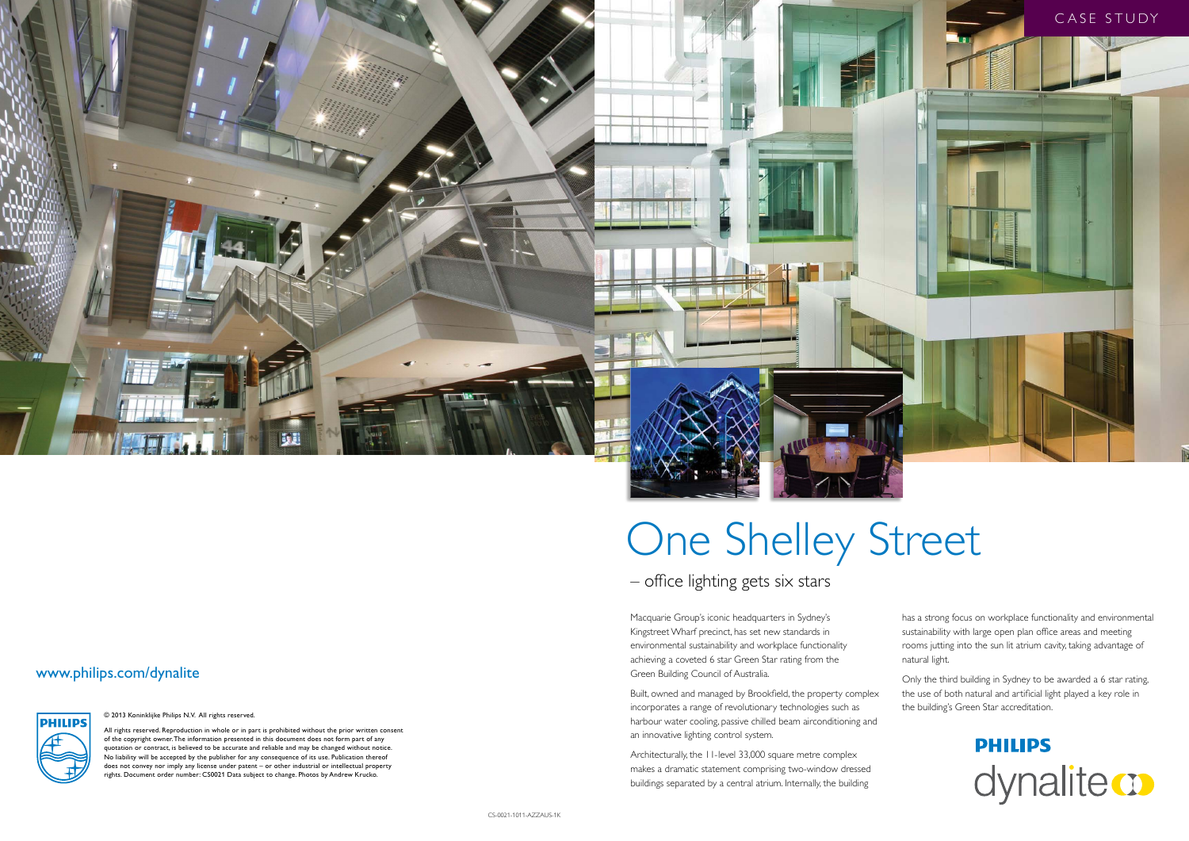

## – office lighting gets six stars

# One Shelley Street

Macquarie Group's iconic headquarters in Sydney's Kingstreet Wharf precinct, has set new standards in environmental sustainability and workplace functionality achieving a coveted 6 star Green Star rating from the Green Building Council of Australia.

Built, owned and managed by Brookfield, the property complex incorporates a range of revolutionary technologies such as harbour water cooling, passive chilled beam airconditioning and an innovative lighting control system.

Architecturally, the 11-level 33,000 square metre complex makes a dramatic statement comprising two-window dressed buildings separated by a central atrium. Internally, the building

has a strong focus on workplace functionality and environmental sustainability with large open plan office areas and meeting rooms jutting into the sun lit atrium cavity, taking advantage of natural light.

Only the third building in Sydney to be awarded a 6 star rating, the use of both natural and artificial light played a key role in the building's Green Star accreditation.



## www.philips.com/dynalite

**PHILIPS** 

© 2013 Koninklijke Philips N.V. All rights reserved.

All rights reserved. Reproduction in whole or in part is prohibited without the prior written consent of the copyright owner. The information presented in this document does not form part of any quotation or contract, is believed to be accurate and reliable and may be changed without notice. No liability will be accepted by the publisher for any consequence of its use. Publication thereof does not convey nor imply any license under patent – or other industrial or intellectual property rights. Document order number: CS0021 Data subject to change. Photos by Andrew Krucko.